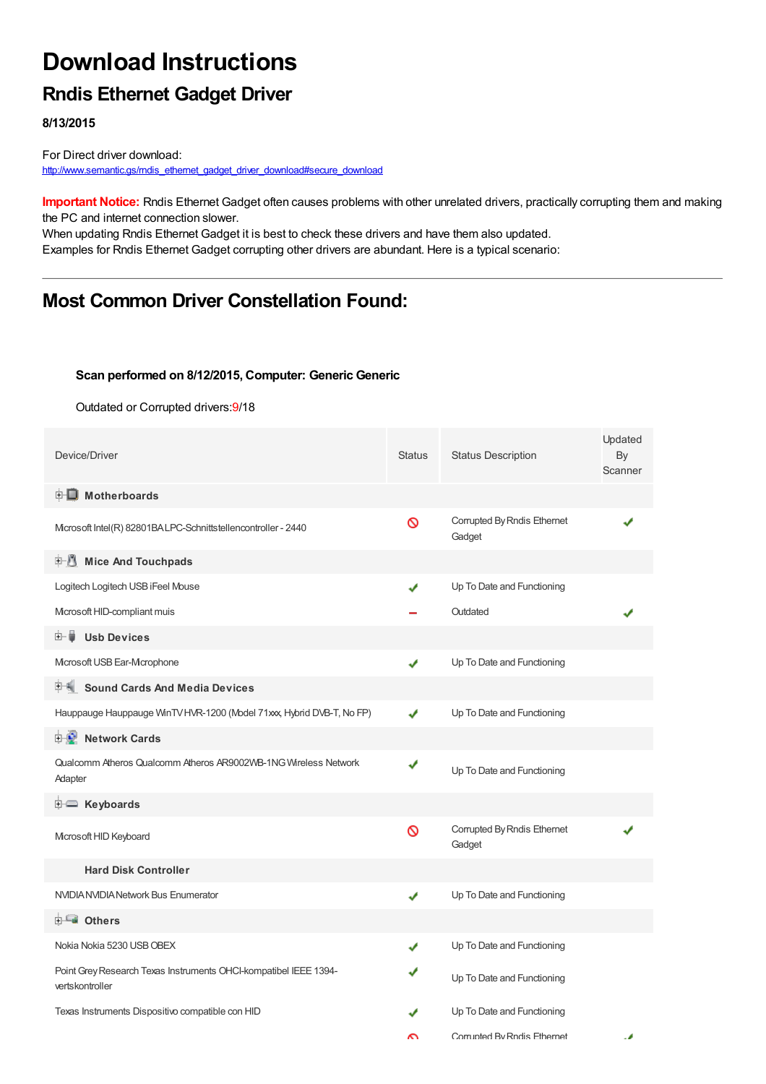# **Download Instructions**

### **Rndis Ethernet Gadget Driver**

**8/13/2015**

For Direct driver download: http://www.semantic.gs/mdis\_ethernet\_gadget\_driver\_download#secure\_download

**Important Notice:** Rndis Ethernet Gadget often causes problems with other unrelated drivers, practically corrupting them and making the PC and internet connection slower.

When updating Rndis Ethernet Gadget it is best to check these drivers and have them also updated. Examples for Rndis Ethernet Gadget corrupting other drivers are abundant. Here is a typical scenario:

### **Most Common Driver Constellation Found:**

#### **Scan performed on 8/12/2015, Computer: Generic Generic**

Outdated or Corrupted drivers:9/18

| Device/Driver                                                                       | <b>Status</b> | <b>Status Description</b>             | Updated<br>By<br>Scanner |
|-------------------------------------------------------------------------------------|---------------|---------------------------------------|--------------------------|
| <b>E</b> Motherboards                                                               |               |                                       |                          |
| Mcrosoft Intel(R) 82801BALPC-Schnittstellencontroller - 2440                        | Ø             | Corrupted By Rndis Ethernet<br>Gadget |                          |
| Mice And Touchpads                                                                  |               |                                       |                          |
| Logitech Logitech USB iFeel Mouse                                                   |               | Up To Date and Functioning            |                          |
| Mcrosoft HID-compliant muis                                                         |               | Outdated                              |                          |
| 由−■<br><b>Usb Devices</b>                                                           |               |                                       |                          |
| Mcrosoft USB Ear-Mcrophone                                                          | ✔             | Up To Date and Functioning            |                          |
| <b>Sound Cards And Media Devices</b>                                                |               |                                       |                          |
| Hauppauge Hauppauge WinTV HVR-1200 (Model 71xxx, Hybrid DVB-T, No FP)               | J             | Up To Date and Functioning            |                          |
| <b>E-D</b> Network Cards                                                            |               |                                       |                          |
| Qualcomm Atheros Qualcomm Atheros AR9002WB-1NG Wireless Network<br>Adapter          | ✔             | Up To Date and Functioning            |                          |
| E Keyboards                                                                         |               |                                       |                          |
| Microsoft HID Keyboard                                                              | Ø             | Corrupted By Rndis Ethernet<br>Gadget |                          |
| <b>Hard Disk Controller</b>                                                         |               |                                       |                          |
| NVIDIA NVIDIA Network Bus Enumerator                                                | ✔             | Up To Date and Functioning            |                          |
| <b>E</b> Others                                                                     |               |                                       |                          |
| Nokia Nokia 5230 USB OBEX                                                           |               | Up To Date and Functioning            |                          |
| Point Grey Research Texas Instruments OHCI-kompatibel IEEE 1394-<br>vertskontroller |               | Up To Date and Functioning            |                          |
| Texas Instruments Dispositivo compatible con HID                                    |               | Up To Date and Functioning            |                          |
|                                                                                     | ົ             | Corrupted By Rndis Fthernet           | . .                      |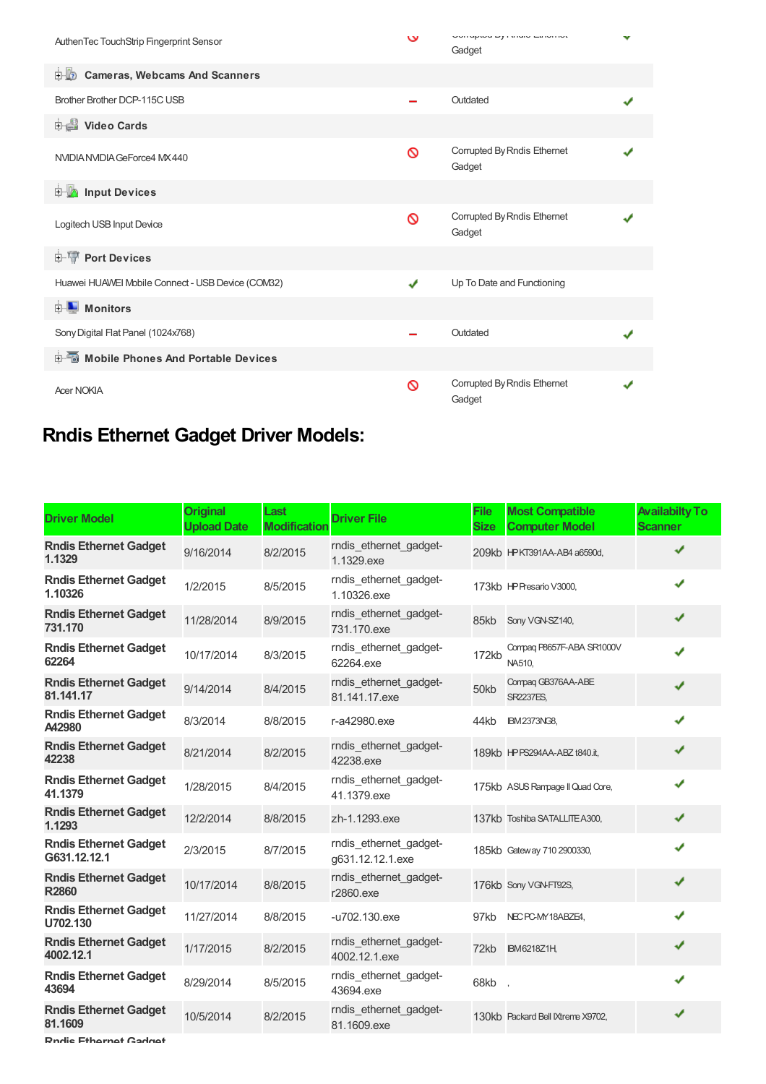| AuthenTec TouchStrip Fingerprint Sensor           | $\mathbf v$ | <b>OUTHPRO PAINT CONTROL</b><br>Gadget | v |
|---------------------------------------------------|-------------|----------------------------------------|---|
| <b>E.B.</b> Cameras, Webcams And Scanners         |             |                                        |   |
| Brother Brother DCP-115C USB                      |             | Outdated                               |   |
| Video Cards                                       |             |                                        |   |
| NVIDIA NVIDIA GeForce4 MX 440                     | Ø           | Corrupted By Rndis Ethernet<br>Gadget  |   |
| <b>E</b> Input Devices                            |             |                                        |   |
| Logitech USB Input Device                         | ∾           | Corrupted By Rndis Ethernet<br>Gadget  |   |
| <b>E-TP</b> Port Devices                          |             |                                        |   |
| Huawei HUAWEI Mobile Connect - USB Device (COM32) | ✔           | Up To Date and Functioning             |   |
| <b>E</b> Monitors                                 |             |                                        |   |
| Sony Digital Flat Panel (1024x768)                |             | Outdated                               |   |
| <b>E-Mobile Phones And Portable Devices</b>       |             |                                        |   |
| <b>Acer NOKIA</b>                                 | ര           | Corrupted By Rndis Ethernet<br>Gadget  |   |

## **Rndis Ethernet Gadget Driver Models:**

| <b>Driver Model</b>                          | <b>Original</b><br><b>Upload Date</b> | Last<br><b>Modification</b> | <b>Driver File</b>                         | <b>File</b><br><b>Size</b> | <b>Most Compatible</b><br><b>Computer Model</b> | <b>Availabilty To</b><br><b>Scanner</b> |
|----------------------------------------------|---------------------------------------|-----------------------------|--------------------------------------------|----------------------------|-------------------------------------------------|-----------------------------------------|
| <b>Rndis Ethernet Gadget</b><br>1.1329       | 9/16/2014                             | 8/2/2015                    | rndis ethernet gadget-<br>1.1329.exe       |                            | 209kb HPKT391AA-AB4 a6590d,                     | ✔                                       |
| <b>Rndis Ethernet Gadget</b><br>1.10326      | 1/2/2015                              | 8/5/2015                    | rndis_ethernet_gadget-<br>1.10326.exe      |                            | 173kb HP Presario V3000,                        | J                                       |
| <b>Rndis Ethernet Gadget</b><br>731.170      | 11/28/2014                            | 8/9/2015                    | rndis_ethernet_gadget-<br>731.170.exe      | 85kb                       | Sony VGN-SZ140,                                 | ✔                                       |
| <b>Rndis Ethernet Gadget</b><br>62264        | 10/17/2014                            | 8/3/2015                    | rndis ethernet gadget-<br>62264.exe        | 172kb                      | Compaq P8657F-ABA SR1000V<br>NA510.             | ✔                                       |
| <b>Rndis Ethernet Gadget</b><br>81.141.17    | 9/14/2014                             | 8/4/2015                    | rndis_ethernet_gadget-<br>81.141.17.exe    | 50kb                       | Compaq GB376AA-ABE<br><b>SR2237ES,</b>          | ✔                                       |
| <b>Rndis Ethernet Gadget</b><br>A42980       | 8/3/2014                              | 8/8/2015                    | r-a42980.exe                               | 44kb                       | <b>IBM2373NG8,</b>                              | ✔                                       |
| <b>Rndis Ethernet Gadget</b><br>42238        | 8/21/2014                             | 8/2/2015                    | rndis_ethernet_gadget-<br>42238.exe        |                            | 189kb HPPS294AA-ABZ t840.it,                    | ✔                                       |
| <b>Rndis Ethernet Gadget</b><br>41.1379      | 1/28/2015                             | 8/4/2015                    | rndis_ethernet_gadget-<br>41.1379.exe      |                            | 175kb ASUS Rampage II Quad Core,                | J                                       |
| <b>Rndis Ethernet Gadget</b><br>1.1293       | 12/2/2014                             | 8/8/2015                    | zh-1.1293.exe                              |                            | 137kb Toshiba SATALLITE A300,                   | ✔                                       |
| <b>Rndis Ethernet Gadget</b><br>G631.12.12.1 | 2/3/2015                              | 8/7/2015                    | rndis_ethernet_gadget-<br>g631.12.12.1.exe |                            | 185kb Gateway 710 2900330,                      | J                                       |
| <b>Rndis Ethernet Gadget</b><br><b>R2860</b> | 10/17/2014                            | 8/8/2015                    | rndis ethernet gadget-<br>r2860.exe        |                            | 176kb Sony VGN-FT92S,                           | J                                       |
| <b>Rndis Ethernet Gadget</b><br>U702.130     | 11/27/2014                            | 8/8/2015                    | -u702.130.exe                              | 97kb                       | NEC PC-MY18ABZE4,                               | J                                       |
| <b>Rndis Ethernet Gadget</b><br>4002.12.1    | 1/17/2015                             | 8/2/2015                    | rndis ethernet gadget-<br>4002.12.1.exe    | 72kb                       | <b>IBM6218Z1H</b>                               | ✔                                       |
| <b>Rndis Ethernet Gadget</b><br>43694        | 8/29/2014                             | 8/5/2015                    | rndis_ethernet_gadget-<br>43694.exe        | 68kb                       |                                                 | ✔                                       |
| <b>Rndis Ethernet Gadget</b><br>81.1609      | 10/5/2014                             | 8/2/2015                    | rndis_ethernet_gadget-<br>81.1609.exe      |                            | 130kb Packard Bell Ktreme X9702,                |                                         |

**Rndis Ethernet Gadget**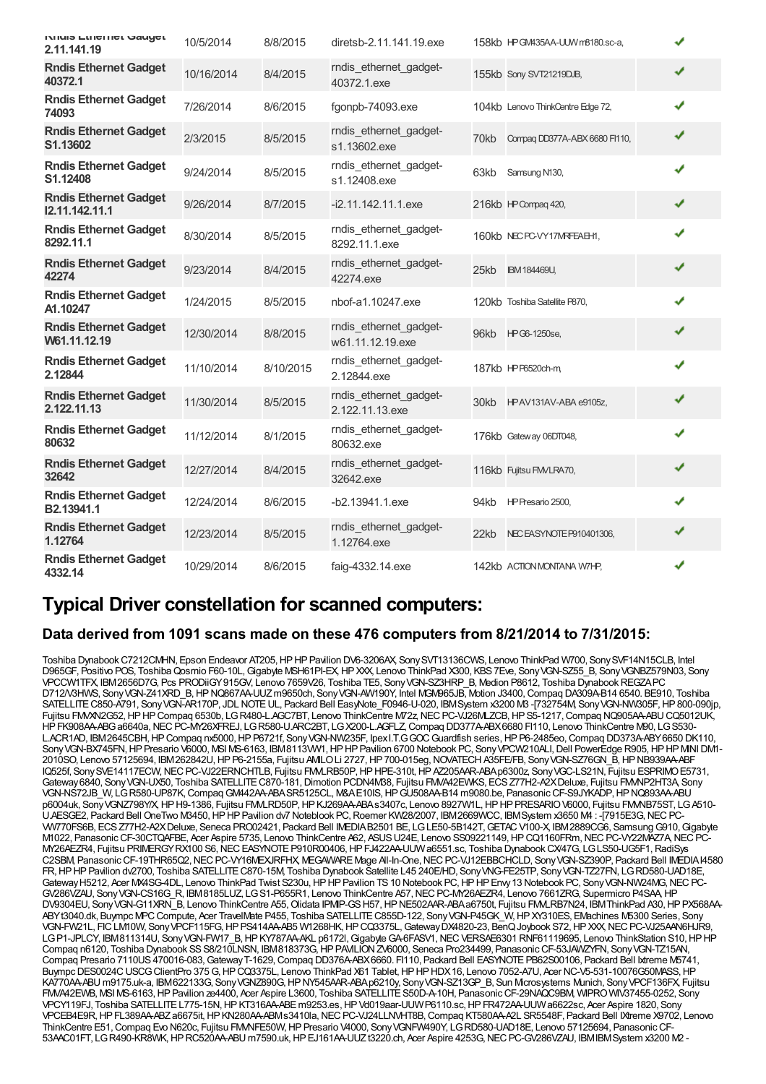| NIMIS ELIICHICL GAUGEL<br>2.11.141.19          | 10/5/2014  | 8/8/2015  | diretsb-2.11.141.19.exe                    |      | 158kb HPGM435AA-UUW m8180.sc-a,   | ✔ |  |
|------------------------------------------------|------------|-----------|--------------------------------------------|------|-----------------------------------|---|--|
| <b>Rndis Ethernet Gadget</b><br>40372.1        | 10/16/2014 | 8/4/2015  | rndis_ethernet_gadget-<br>40372.1.exe      |      | 155kb Sony SVT21219DJB,           | ✔ |  |
| <b>Rndis Ethernet Gadget</b><br>74093          | 7/26/2014  | 8/6/2015  | fgonpb-74093.exe                           |      | 104kb Lenovo ThinkCentre Edge 72, | ✔ |  |
| <b>Rndis Ethernet Gadget</b><br>S1.13602       | 2/3/2015   | 8/5/2015  | rndis ethernet gadget-<br>s1.13602.exe     | 70kb | Compag DD377A-ABX 6680 Fl110,     | ✔ |  |
| <b>Rndis Ethernet Gadget</b><br>S1.12408       | 9/24/2014  | 8/5/2015  | rndis_ethernet_gadget-<br>s1.12408.exe     | 63kb | Samsung N130,                     | ✔ |  |
| <b>Rndis Ethernet Gadget</b><br>12.11.142.11.1 | 9/26/2014  | 8/7/2015  | $-i2.11.142.11.1$ .exe                     |      | 216kb HP Compag 420,              | ✔ |  |
| <b>Rndis Ethernet Gadget</b><br>8292.11.1      | 8/30/2014  | 8/5/2015  | rndis_ethernet_gadget-<br>8292.11.1.exe    |      | 160kb NECPC-VY17MRFEAEH1,         | ✔ |  |
| <b>Rndis Ethernet Gadget</b><br>42274          | 9/23/2014  | 8/4/2015  | rndis_ethernet_gadget-<br>42274.exe        | 25kb | <b>IBM 184469U,</b>               | ✔ |  |
| <b>Rndis Ethernet Gadget</b><br>A1.10247       | 1/24/2015  | 8/5/2015  | nbof-a1.10247.exe                          |      | 120kb Toshiba Satellite P870,     | J |  |
| <b>Rndis Ethernet Gadget</b><br>W61.11.12.19   | 12/30/2014 | 8/8/2015  | rndis ethernet gadget-<br>w61.11.12.19.exe |      | 96kb HPG6-1250se,                 | ✔ |  |
| <b>Rndis Ethernet Gadget</b><br>2.12844        | 11/10/2014 | 8/10/2015 | rndis ethernet gadget-<br>2.12844.exe      |      | 187kb HP F6520ch-m                | ✔ |  |
| <b>Rndis Ethernet Gadget</b><br>2.122.11.13    | 11/30/2014 | 8/5/2015  | rndis ethernet gadget-<br>2.122.11.13.exe  | 30kb | HPAV131AV-ABA e9105z,             | ✔ |  |
| <b>Rndis Ethernet Gadget</b><br>80632          | 11/12/2014 | 8/1/2015  | rndis ethernet gadget-<br>80632.exe        |      | 176kb Gateway 06DT048,            | ✔ |  |
| <b>Rndis Ethernet Gadget</b><br>32642          | 12/27/2014 | 8/4/2015  | rndis ethernet gadget-<br>32642.exe        |      | 116kb Fujitsu FM/LRA70,           | ✔ |  |
| <b>Rndis Ethernet Gadget</b><br>B2.13941.1     | 12/24/2014 | 8/6/2015  | $-b2.13941.1$ .exe                         | 94kb | HP Presario 2500,                 | ✔ |  |
| <b>Rndis Ethernet Gadget</b><br>1.12764        | 12/23/2014 | 8/5/2015  | rndis_ethernet_gadget-<br>1.12764.exe      | 22kb | NECEASYNOTE P910401306,           | ✔ |  |
| <b>Rndis Ethernet Gadget</b><br>4332.14        | 10/29/2014 | 8/6/2015  | faig-4332.14.exe                           |      | 142kb ACTION MONTANA W7HP,        | ✔ |  |

### **Typical Driver constellation for scanned computers:**

#### **Data derived from 1091 scans made on these 476 computers from 8/21/2014 to 7/31/2015:**

Toshiba Dynabook C7212CMHN, Epson Endeavor AT205, HP HP Pavilion DV6-3206AX, Sony SVT13136CWS, Lenovo ThinkPad W700, Sony SVF14N15CLB, Intel D965GF, Positivo POS, Toshiba Qosmio F60-10L, Gigabyte MSH61PI-EX, HP XXX, Lenovo ThinkPad X300, KBS 7Eve, Sony VGN-SZ55\_B, Sony VGNBZ579N03, Sony VPCCW1TFX, IBM2656D7G, Pcs PRODiiGY915GV, Lenovo 7659V26, Toshiba TE5, SonyVGN-SZ3HRP\_B, Medion P8612, Toshiba DynabookREGZAPC D712/V3HWS, SonyVGN-Z41XRD\_B,HPNQ867AA-UUZm9650ch, SonyVGN-AW190Y, Intel MGM965JB, Motion J3400,Compaq DA309A-B14 6540. BE910, Toshiba SATELLITE C850-A791, Sony VGN-AR170P, JDL NOTE UL, Packard Bell EasyNote\_F0946-U-020, IBMSystem x3200 M3 -[732754M, Sony VGN-NW305F, HP800-090jp, Fujitsu FMVXN2G52, HPHP Compaq 6530b, LG R480-LAGC7BT, Lenovo ThinkCentre M72z, NEC PC-VJ26MLZCB, HPS5-1217, Compaq NQ905AA-ABU CQ5012UK, HPFK908AA-ABGa6640a,NECPC-MY26XFREJ, LGR580-U.ARC2BT, LGX200-L.AGFLZ,Compaq DD377A-ABX6680 FI110, Lenovo ThinkCentre M90, LGS530- L.ACR1AD, IBM2645CBH,HPCompaq nx5000,HPP6721f, SonyVGN-NW235F, IpexI.T.GGOCGuardfish series,HPP6-2485eo,Compaq DD373A-ABY6650 DK110, Sony VGN-BX745FN, HP Presario V6000, MSI MS-6163, IBM8113VW1, HP HP Pavilion 6700 Notebook PC, Sony VPCW210ALI, Dell PowerEdge R905, HP HP MNI DM1-2010SO, Lenovo 57125694, IBM262842U,HPP6-2155a, Fujitsu AMILOLi 2727,HP700-015eg,NOVATECHA35FE/FB, SonyVGN-SZ76GN\_B,HPNB939AA-ABF IQ525f, Sony SVE14117ECW, NEC PC-VJ22ERNCHTLB, Fujitsu FMLRB50P, HP HPE-310t, HP AZ205AAR-ABA p6300z, Sony VGC-LS21N, Fujitsu ESPRIMO E5731, Gateway 6840, Sony VGN-UX50, Toshiba SATELLITE C870-181, Dimotion PCDN4M38, Fujitsu FMVA42EWKS, ECS Z77H2-A2X Deluxe, Fujitsu FMMP2HT3A, Sony VGN-NS72JB\_W, LGR580-UP87K,CompaqGM442AA-ABASR5125CL, M&AE10IS,HPGU508AA-B14 m9080.be, PanasonicCF-S9JYKADP,HPNQ893AA-ABU p6004uk, Sony VGNZ798Y/X, HPH9-1386, Fujitsu FMLRD50P, HP KJ269AA-ABAs3407c, Lenovo 8927W1L, HP HP PRESARIO V6000, Fujitsu FMMB75ST, LGA510-U.AESGE2, Packard Bell OneTwo M3450,HPHPPavilion dv7 Noteblook PC,Roemer KW28/2007, IBM2669WCC, IBMSystem x3650 M4 : -[7915E3G,NECPC-VW770FS6B, ECSZ77H2-A2XDeluxe, Seneca PRO02421, Packard Bell IMEDIAB2501 BE, LGLE50-5B142T,GETACV100-X, IBM2889CG6, SamsungG910,Gigabyte M1022, Panasonic CF-30CTQAFBE, Acer Aspire 5735, Lenovo ThinkCentre A62, ASUS U24E, Lenovo SS09221149, HPCQ1160FRm, NEC PC-VY22MAZ7A, NEC PC-MY26AEZR4, Fujitsu PRIMERGYRX100 S6,NECEASYNOTEP910R00406,HPFJ422AA-UUWa6551.sc, Toshiba DynabookCX/47G, LGLS50-UG5F1,RadiSys C2SBM, Panasonic CF-19THR65Q2, NEC PC-VY16MEXJRFHX, MEGAWARE Mage All-In-One, NEC PC-VJ12EBBCHCLD, Sony VGN-SZ390P, Packard Bell IMEDIA I4580 FR,HPHPPavilion dv2700, Toshiba SATELLITEC870-15M, Toshiba Dynabook Satellite L45 240E/HD, SonyVNG-FE25TP, SonyVGN-TZ27FN, LGRD580-UAD18E, Gateway H5212, Acer MX4SG-4DL, Lenovo ThinkPad Twist S230u, HP HP Pavilion TS 10 Notebook PC, HP HP Envy 13 Notebook PC, Sony VGN-NW24MG, NEC PC-GV286VZAU, SonyVGN-CS16G\_R, IBM8185LUZ, LGS1-P655R1, Lenovo ThinkCentre A57,NECPC-MY26AEZR4, Lenovo 7661ZRG, Supermicro P4SAA,HP DV9304EU, Sony VGN-G11XRN\_B, Lenovo ThinkCentre A55, Olidata IPMP-GS H57, HP NE502AAR-ABA a6750t, Fujitsu FMALRB7N24, IBM ThinkPad A30, HP PX568AA-ABYt3040.dk, Buympc MPCCompute, Acer TravelMate P455, Toshiba SATELLITEC855D-122, SonyVGN-P45GK\_W,HPXY310ES, EMachines M5300 Series, Sony VGN-FW21L, FICLM10W, SonyVPCF115FG,HPPS414AA-AB5 W1268HK,HPCQ3375L,GatewayDX4820-23, BenQJoybook S72,HPXXX,NECPC-VJ25AAN6HJR9, LGP1-JPLCY, IBM811314U, Sony VGN-FW17\_B, HP KY787AA-AKL p6172l, Gigabyte GA-6FASV1, NEC VERSAE6301 RNF61119695, Lenovo ThinkStation S10, HP HP Compaq n6120, Toshiba Dynabook SS S8/210LNSN, IBM818373G, HP PAVILION ZV6000, Seneca Pro234499, Panasonic CF-53JAWZYFN, Sony VGN-TZ15AN, Compaq Presario 7110US 470016-083, Gateway T-1629, Compaq DD376A-ABX6660. FI110, Packard Bell EASYNOTE PB62S00106, Packard Bell Ixtreme M5741, Buympc DES0024C USCG ClientPro 375 G, HP CQ3375L, Lenovo ThinkPad X61 Tablet, HP HP HDX16, Lenovo 7052-A7U, Acer NC-V5-531-10076G50MASS, HP KA770AA-ABU m9175.uk-a, IBM622133G, SonyVGNZ890G,HPNY545AAR-ABAp6210y, SonyVGN-SZ13GP\_B, Sun Microsystems Munich, SonyVPCF136FX, Fujitsu FMVA42EWB, MSI MS-6163,HPPavilion ze4400, Acer Aspire L3600, Toshiba SATELLITES50D-A-10H, PanasonicCF-29NAQC9BM, WIPROWIV37455-0252, Sony VPCY119FJ, Toshiba SATELLITEL775-15N,HPKT316AA-ABEm9253.es,HPVd019aar-UUWP6110.sc,HPFR472AA-UUWa6622sc, Acer Aspire 1820, Sony VPCEB4E9R,HPFL389AA-ABZa6675it,HPKN280AA-ABMs3410la,NECPC-VJ24LLNVHT8B,Compaq KT580AA-A2L SR5548F, Packard Bell IXtreme X9702, Lenovo ThinkCentre E51,Compaq Evo N620c, Fujitsu FMVNFE50W,HPPresario V4000, SonyVGNFW490Y, LGRD580-UAD18E, Lenovo 57125694, PanasonicCF-53AAC01FT, LGR490-KR8WK,HPRC520AA-ABU m7590.uk,HPEJ161AA-UUZt3220.ch, Acer Aspire 4253G,NECPC-GV286VZAU, IBMIBMSystem x3200 M2 -